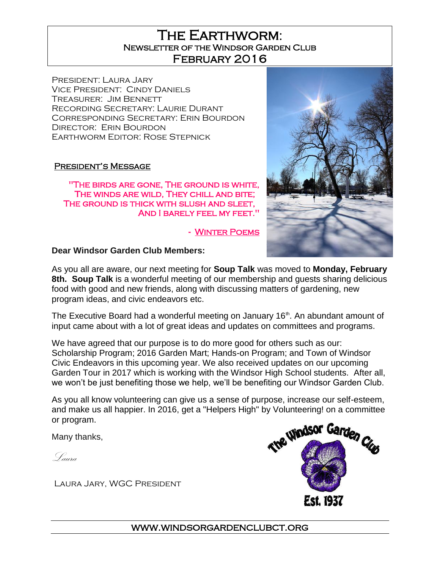## The Earthworm: Newsletter of the Windsor Garden Club February 2016

President: Laura Jary Vice President: Cindy Daniels Treasurer: Jim Bennett Recording Secretary: Laurie Durant Corresponding Secretary: Erin Bourdon DIRECTOR: ERIN BOURDON Earthworm Editor: Rose Stepnick

#### President's Message

"The birds are gone, The ground is white, The winds are wild, They chill and bite; THE GROUND IS THICK WITH SLUSH AND SLEET, And I barely feel my feet."

- [Winter Poems](http://www.geocities.com/melissajl2000/winter_poems.htm) 



#### **Dear Windsor Garden Club Members:**

As you all are aware, our next meeting for **Soup Talk** was moved to **Monday, February 8th. Soup Talk** is a wonderful meeting of our membership and guests sharing delicious food with good and new friends, along with discussing matters of gardening, new program ideas, and civic endeavors etc.

The Executive Board had a wonderful meeting on January 16<sup>th</sup>. An abundant amount of input came about with a lot of great ideas and updates on committees and programs.

We have agreed that our purpose is to do more good for others such as our: Scholarship Program; 2016 Garden Mart; Hands-on Program; and Town of Windsor Civic Endeavors in this upcoming year. We also received updates on our upcoming Garden Tour in 2017 which is working with the Windsor High School students. After all, we won't be just benefiting those we help, we'll be benefiting our Windsor Garden Club.

As you all know volunteering can give us a sense of purpose, increase our self-esteem, and make us all happier. In 2016, get a "Helpers High" by Volunteering! on a committee or program.

Many thanks,

Laura

Laura Jary, WGC President



www.windsorgardenclubct.org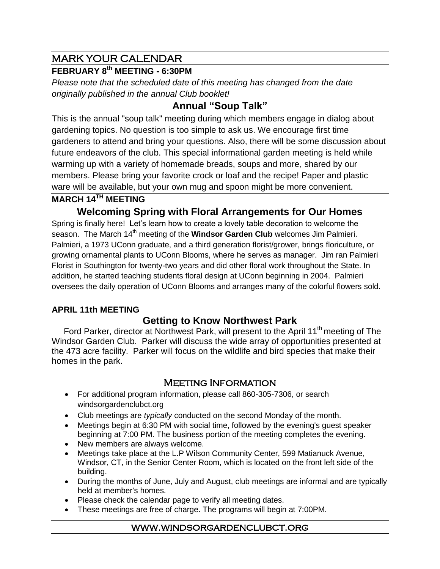# MARK YOUR CALENDAR

## **FEBRUARY 8 th MEETING - 6:30PM**

*Please note that the scheduled date of this meeting has changed from the date originally published in the annual Club booklet!*

# **Annual "Soup Talk"**

This is the annual "soup talk" meeting during which members engage in dialog about gardening topics. No question is too simple to ask us. We encourage first time gardeners to attend and bring your questions. Also, there will be some discussion about future endeavors of the club. This special informational garden meeting is held while warming up with a variety of homemade breads, soups and more, shared by our members. Please bring your favorite crock or loaf and the recipe! Paper and plastic ware will be available, but your own mug and spoon might be more convenient.

## **MARCH 14TH MEETING**

**Welcoming Spring with Floral Arrangements for Our Homes**

Spring is finally here! Let's learn how to create a lovely table decoration to welcome the season. The March 14<sup>th</sup> meeting of the **Windsor Garden Club** welcomes Jim Palmieri. Palmieri, a 1973 UConn graduate, and a third generation florist/grower, brings floriculture, or growing ornamental plants to UConn Blooms, where he serves as manager. Jim ran Palmieri Florist in Southington for twenty-two years and did other floral work throughout the State. In addition, he started teaching students floral design at UConn beginning in 2004. Palmieri oversees the daily operation of UConn Blooms and arranges many of the colorful flowers sold.

## **APRIL 11th MEETING**

## **Getting to Know Northwest Park**

Ford Parker, director at Northwest Park, will present to the April 11<sup>th</sup> meeting of The Windsor Garden Club. Parker will discuss the wide array of opportunities presented at the 473 acre facility. Parker will focus on the wildlife and bird species that make their homes in the park.

### Meeting Information

- For additional program information, please call 860-305-7306, or search windsorgardenclubct.org
- Club meetings are *typically* conducted on the second Monday of the month.
- Meetings begin at 6:30 PM with social time, followed by the evening's guest speaker beginning at 7:00 PM. The business portion of the meeting completes the evening.
- New members are always welcome.
- Meetings take place at the L.P Wilson Community Center, 599 Matianuck Avenue, Windsor, CT, in the Senior Center Room, which is located on the front left side of the building.
- During the months of June, July and August, club meetings are informal and are typically held at member's homes.
- Please check the calendar page to verify all meeting dates.
- These meetings are free of charge. The programs will begin at 7:00PM.

#### www.windsorgardenclubct.org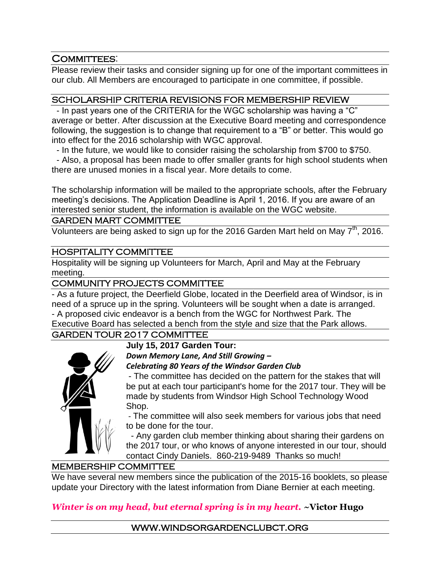### COMMITTEES:

Please review their tasks and consider signing up for one of the important committees in our club. All Members are encouraged to participate in one committee, if possible.

#### SCHOLARSHIP CRITERIA REVISIONS FOR MEMBERSHIP REVIEW

- In past years one of the CRITERIA for the WGC scholarship was having a "C" average or better. After discussion at the Executive Board meeting and correspondence following, the suggestion is to change that requirement to a "B" or better. This would go into effect for the 2016 scholarship with WGC approval.

- In the future, we would like to consider raising the scholarship from \$700 to \$750.

- Also, a proposal has been made to offer smaller grants for high school students when there are unused monies in a fiscal year. More details to come.

The scholarship information will be mailed to the appropriate schools, after the February meeting's decisions. The Application Deadline is April 1, 2016. If you are aware of an interested senior student, the information is available on the WGC website.

#### GARDEN MART COMMITTEE

Volunteers are being asked to sign up for the 2016 Garden Mart held on May 7<sup>th</sup>, 2016.

#### HOSPITALITY COMMITTEE

Hospitality will be signing up Volunteers for March, April and May at the February meeting.

#### COMMUNITY PROJECTS COMMITTEE

- As a future project, the Deerfield Globe, located in the Deerfield area of Windsor, is in need of a spruce up in the spring. Volunteers will be sought when a date is arranged. - A proposed civic endeavor is a bench from the WGC for Northwest Park. The

Executive Board has selected a bench from the style and size that the Park allows.

### GARDEN TOUR 2017 COMMITTEE

#### **July 15, 2017 Garden Tour:**

*Down Memory Lane, And Still Growing –*

*Celebrating 80 Years of the Windsor Garden Club*

- The committee has decided on the pattern for the stakes that will be put at each tour participant's home for the 2017 tour. They will be made by students from Windsor High School Technology Wood Shop.

- The committee will also seek members for various jobs that need to be done for the tour.

 - Any garden club member thinking about sharing their gardens on the 2017 tour, or who knows of anyone interested in our tour, should contact Cindy Daniels. 860-219-9489 Thanks so much!

#### MEMBERSHIP COMMITTEE

We have several new members since the publication of the 2015-16 booklets, so please update your Directory with the latest information from Diane Bernier at each meeting.

### *Winter is on my head, but eternal spring is in my heart.* **~Victor Hugo**

www.windsorgardenclubct.org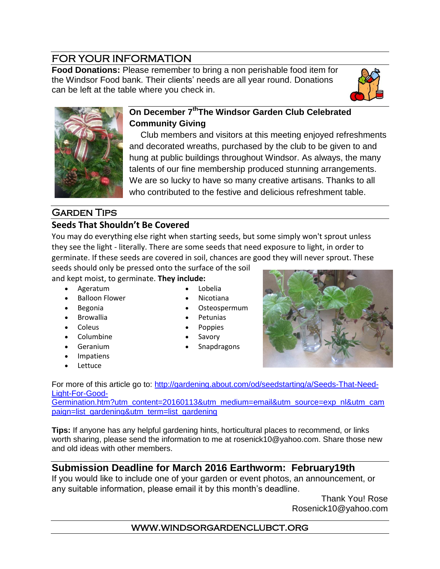# FOR YOUR INFORMATION

**Food Donations:** Please remember to bring a non perishable food item for the Windsor Food bank. Their clients' needs are all year round. Donations can be left at the table where you check in.





## **On December 7thThe Windsor Garden Club Celebrated Community Giving**

 Club members and visitors at this meeting enjoyed refreshments and decorated wreaths, purchased by the club to be given to and hung at public buildings throughout Windsor. As always, the many talents of our fine membership produced stunning arrangements. We are so lucky to have so many creative artisans. Thanks to all who contributed to the festive and delicious refreshment table.

# **GARDEN TIPS**

## **Seeds That Shouldn't Be Covered**

You may do everything else right when starting seeds, but some simply won't sprout unless they see the light - literally. There are some seeds that need exposure to light, in order to germinate. If these seeds are covered in soil, chances are good they will never sprout. These

seeds should only be pressed onto the surface of the soil and kept moist, to germinate. **They include:**

- Ageratum
- [Balloon Flower](http://gardening.about.com/od/plantprofile1/ss/How-to-Grow-Balloon-Flowers.htm)
- Begonia
- **•** Browallia
- Coleus
- [Columbine](http://gardening.about.com/od/choosingperennialplants/ig/Perennials-for-New-Gardeners/Aquilegia--Columbine-.htm)
	- Geranium
- Impatiens
- [Lettuce](http://gardening.about.com/od/vegetablepatch/a/Lettuce.htm)
- Lobelia
- Nicotiana
- [Osteospermum](http://gardening.about.com/od/plantprofiles/p/Osteospurmum-Growing-And-Caring-For-African-Daisies.htm)
- [Petunias](http://gardening.about.com/od/plantprofiles/a/Petunias.htm)
- Poppies
- [Savory](http://gardening.about.com/od/herbsatoz/ss/How-to-Grow-Summer-Savory.htm)
- [Snapdragons](http://gardening.about.com/od/plantprofiles/p/Snapdragons.htm)



For more of this article go to: [http://gardening.about.com/od/seedstarting/a/Seeds-That-Need-](http://gardening.about.com/od/seedstarting/a/Seeds-That-Need-Light-For-Good-Germination.htm?utm_content=20160113&utm_medium=email&utm_source=exp_nl&utm_campaign=list_gardening&utm_term=list_gardening)[Light-For-Good-](http://gardening.about.com/od/seedstarting/a/Seeds-That-Need-Light-For-Good-Germination.htm?utm_content=20160113&utm_medium=email&utm_source=exp_nl&utm_campaign=list_gardening&utm_term=list_gardening)

[Germination.htm?utm\\_content=20160113&utm\\_medium=email&utm\\_source=exp\\_nl&utm\\_cam](http://gardening.about.com/od/seedstarting/a/Seeds-That-Need-Light-For-Good-Germination.htm?utm_content=20160113&utm_medium=email&utm_source=exp_nl&utm_campaign=list_gardening&utm_term=list_gardening) [paign=list\\_gardening&utm\\_term=list\\_gardening](http://gardening.about.com/od/seedstarting/a/Seeds-That-Need-Light-For-Good-Germination.htm?utm_content=20160113&utm_medium=email&utm_source=exp_nl&utm_campaign=list_gardening&utm_term=list_gardening)

**Tips:** If anyone has any helpful gardening hints, horticultural places to recommend, or links worth sharing, please send the information to me at [rosenick10@yahoo.com.](mailto:rosenick10@yahoo.com) Share those new and old ideas with other members.

# **Submission Deadline for March 2016 Earthworm: February19th**

If you would like to include one of your garden or event photos, an announcement, or any suitable information, please email it by this month's deadline.

 Thank You! Rose [Rosenick10@yahoo.com](mailto:Rosenick10@yahoo.com)